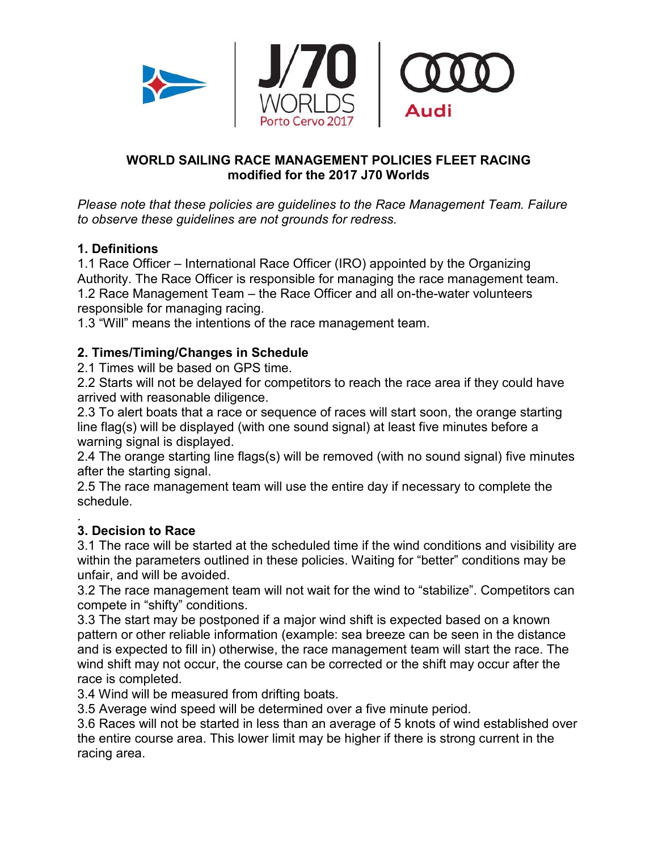

#### **WORLD SAILING RACE MANAGEMENT POLICIES FLEET RACING modified for the 2017 J70 Worlds**

*Please note that these policies are guidelines to the Race Management Team. Failure to observe these guidelines are not grounds for redress.* 

#### **1. Definitions**

1.1 Race Officer – International Race Officer (IRO) appointed by the Organizing Authority. The Race Officer is responsible for managing the race management team. 1.2 Race Management Team – the Race Officer and all on-the-water volunteers responsible for managing racing.

1.3 "Will" means the intentions of the race management team.

#### **2. Times/Timing/Changes in Schedule**

2.1 Times will be based on GPS time.

2.2 Starts will not be delayed for competitors to reach the race area if they could have arrived with reasonable diligence.

2.3 To alert boats that a race or sequence of races will start soon, the orange starting line flag(s) will be displayed (with one sound signal) at least five minutes before a warning signal is displayed.

2.4 The orange starting line flags(s) will be removed (with no sound signal) five minutes after the starting signal.

2.5 The race management team will use the entire day if necessary to complete the schedule.

#### . **3. Decision to Race**

3.1 The race will be started at the scheduled time if the wind conditions and visibility are within the parameters outlined in these policies. Waiting for "better" conditions may be unfair, and will be avoided.

3.2 The race management team will not wait for the wind to "stabilize". Competitors can compete in "shifty" conditions.

3.3 The start may be postponed if a major wind shift is expected based on a known pattern or other reliable information (example: sea breeze can be seen in the distance and is expected to fill in) otherwise, the race management team will start the race. The wind shift may not occur, the course can be corrected or the shift may occur after the race is completed.

3.4 Wind will be measured from drifting boats.

3.5 Average wind speed will be determined over a five minute period.

3.6 Races will not be started in less than an average of 5 knots of wind established over the entire course area. This lower limit may be higher if there is strong current in the racing area.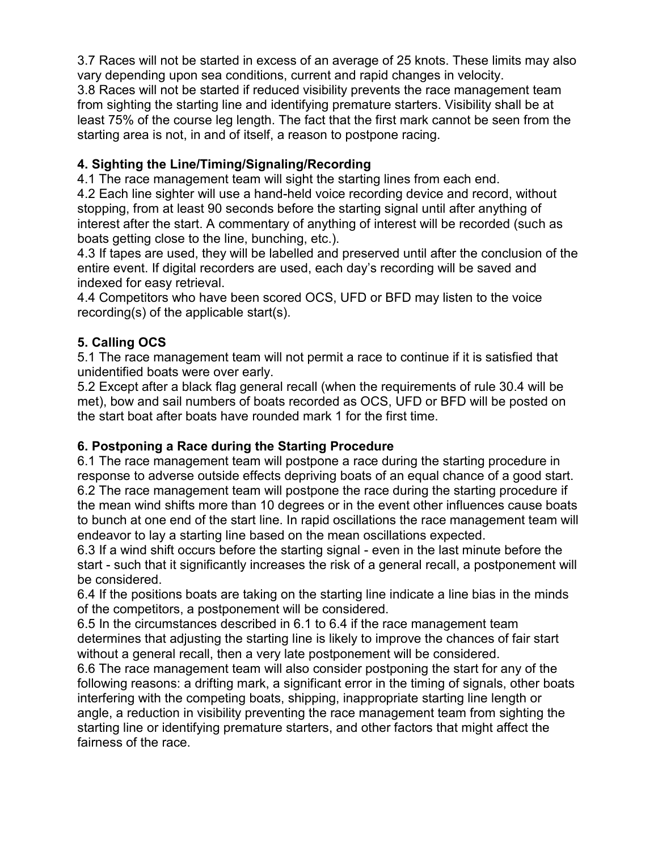3.7 Races will not be started in excess of an average of 25 knots. These limits may also vary depending upon sea conditions, current and rapid changes in velocity. 3.8 Races will not be started if reduced visibility prevents the race management team from sighting the starting line and identifying premature starters. Visibility shall be at least 75% of the course leg length. The fact that the first mark cannot be seen from the starting area is not, in and of itself, a reason to postpone racing.

# **4. Sighting the Line/Timing/Signaling/Recording**

4.1 The race management team will sight the starting lines from each end.

4.2 Each line sighter will use a hand-held voice recording device and record, without stopping, from at least 90 seconds before the starting signal until after anything of interest after the start. A commentary of anything of interest will be recorded (such as boats getting close to the line, bunching, etc.).

4.3 If tapes are used, they will be labelled and preserved until after the conclusion of the entire event. If digital recorders are used, each day's recording will be saved and indexed for easy retrieval.

4.4 Competitors who have been scored OCS, UFD or BFD may listen to the voice recording(s) of the applicable start(s).

#### **5. Calling OCS**

5.1 The race management team will not permit a race to continue if it is satisfied that unidentified boats were over early.

5.2 Except after a black flag general recall (when the requirements of rule 30.4 will be met), bow and sail numbers of boats recorded as OCS, UFD or BFD will be posted on the start boat after boats have rounded mark 1 for the first time.

#### **6. Postponing a Race during the Starting Procedure**

6.1 The race management team will postpone a race during the starting procedure in response to adverse outside effects depriving boats of an equal chance of a good start. 6.2 The race management team will postpone the race during the starting procedure if the mean wind shifts more than 10 degrees or in the event other influences cause boats to bunch at one end of the start line. In rapid oscillations the race management team will endeavor to lay a starting line based on the mean oscillations expected.

6.3 If a wind shift occurs before the starting signal - even in the last minute before the start - such that it significantly increases the risk of a general recall, a postponement will be considered.

6.4 If the positions boats are taking on the starting line indicate a line bias in the minds of the competitors, a postponement will be considered.

6.5 In the circumstances described in 6.1 to 6.4 if the race management team determines that adjusting the starting line is likely to improve the chances of fair start without a general recall, then a very late postponement will be considered.

6.6 The race management team will also consider postponing the start for any of the following reasons: a drifting mark, a significant error in the timing of signals, other boats interfering with the competing boats, shipping, inappropriate starting line length or angle, a reduction in visibility preventing the race management team from sighting the starting line or identifying premature starters, and other factors that might affect the fairness of the race.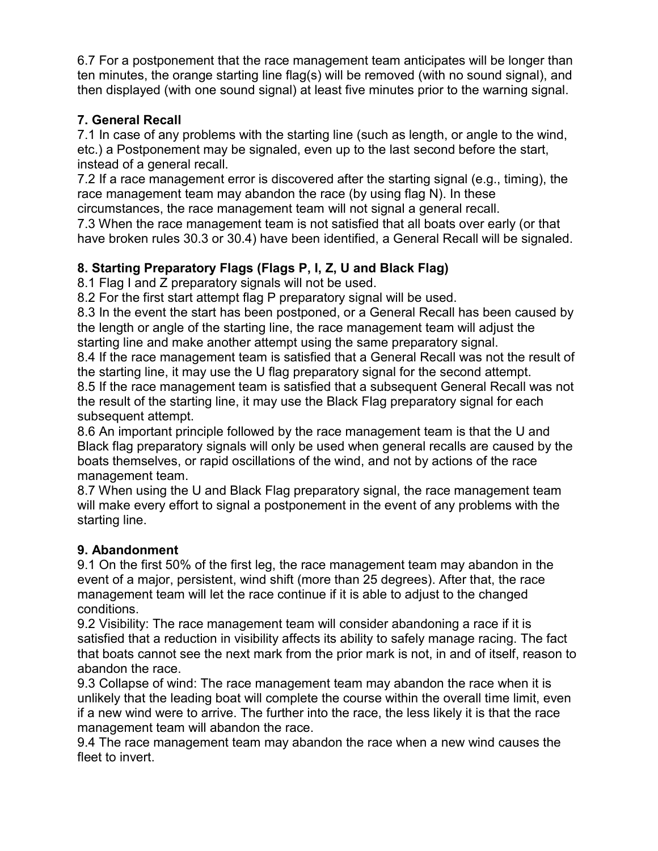6.7 For a postponement that the race management team anticipates will be longer than ten minutes, the orange starting line flag(s) will be removed (with no sound signal), and then displayed (with one sound signal) at least five minutes prior to the warning signal.

# **7. General Recall**

7.1 In case of any problems with the starting line (such as length, or angle to the wind, etc.) a Postponement may be signaled, even up to the last second before the start, instead of a general recall.

7.2 If a race management error is discovered after the starting signal (e.g., timing), the race management team may abandon the race (by using flag N). In these

circumstances, the race management team will not signal a general recall.

7.3 When the race management team is not satisfied that all boats over early (or that have broken rules 30.3 or 30.4) have been identified, a General Recall will be signaled.

# **8. Starting Preparatory Flags (Flags P, I, Z, U and Black Flag)**

8.1 Flag I and Z preparatory signals will not be used.

8.2 For the first start attempt flag P preparatory signal will be used.

8.3 In the event the start has been postponed, or a General Recall has been caused by the length or angle of the starting line, the race management team will adjust the starting line and make another attempt using the same preparatory signal.

8.4 If the race management team is satisfied that a General Recall was not the result of the starting line, it may use the U flag preparatory signal for the second attempt.

8.5 If the race management team is satisfied that a subsequent General Recall was not the result of the starting line, it may use the Black Flag preparatory signal for each subsequent attempt.

8.6 An important principle followed by the race management team is that the U and Black flag preparatory signals will only be used when general recalls are caused by the boats themselves, or rapid oscillations of the wind, and not by actions of the race management team.

8.7 When using the U and Black Flag preparatory signal, the race management team will make every effort to signal a postponement in the event of any problems with the starting line.

# **9. Abandonment**

9.1 On the first 50% of the first leg, the race management team may abandon in the event of a major, persistent, wind shift (more than 25 degrees). After that, the race management team will let the race continue if it is able to adjust to the changed conditions.

9.2 Visibility: The race management team will consider abandoning a race if it is satisfied that a reduction in visibility affects its ability to safely manage racing. The fact that boats cannot see the next mark from the prior mark is not, in and of itself, reason to abandon the race.

9.3 Collapse of wind: The race management team may abandon the race when it is unlikely that the leading boat will complete the course within the overall time limit, even if a new wind were to arrive. The further into the race, the less likely it is that the race management team will abandon the race.

9.4 The race management team may abandon the race when a new wind causes the fleet to invert.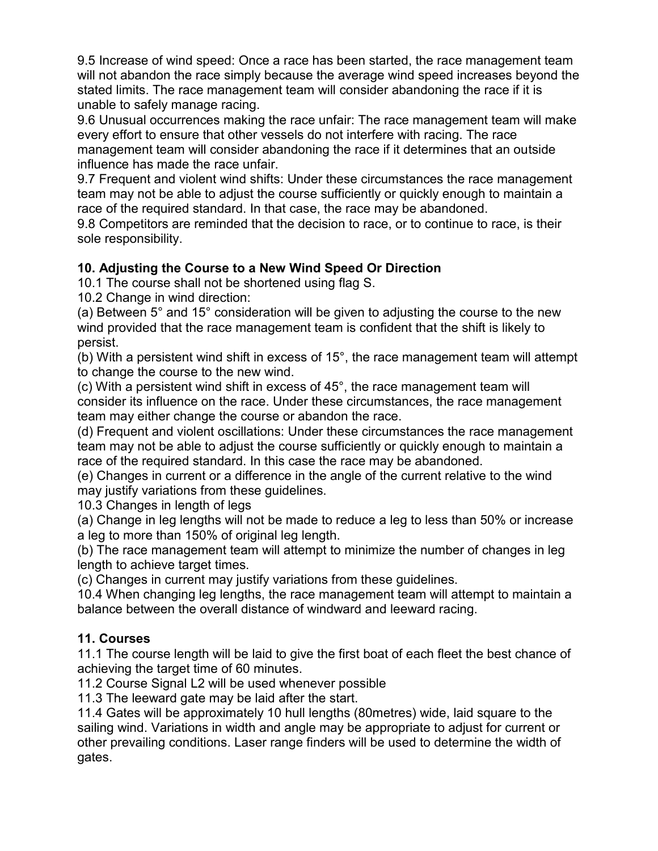9.5 Increase of wind speed: Once a race has been started, the race management team will not abandon the race simply because the average wind speed increases beyond the stated limits. The race management team will consider abandoning the race if it is unable to safely manage racing.

9.6 Unusual occurrences making the race unfair: The race management team will make every effort to ensure that other vessels do not interfere with racing. The race management team will consider abandoning the race if it determines that an outside influence has made the race unfair.

9.7 Frequent and violent wind shifts: Under these circumstances the race management team may not be able to adjust the course sufficiently or quickly enough to maintain a race of the required standard. In that case, the race may be abandoned.

9.8 Competitors are reminded that the decision to race, or to continue to race, is their sole responsibility.

#### **10. Adjusting the Course to a New Wind Speed Or Direction**

10.1 The course shall not be shortened using flag S.

10.2 Change in wind direction:

(a) Between 5° and 15° consideration will be given to adjusting the course to the new wind provided that the race management team is confident that the shift is likely to persist.

(b) With a persistent wind shift in excess of 15°, the race management team will attempt to change the course to the new wind.

(c) With a persistent wind shift in excess of 45°, the race management team will consider its influence on the race. Under these circumstances, the race management team may either change the course or abandon the race.

(d) Frequent and violent oscillations: Under these circumstances the race management team may not be able to adjust the course sufficiently or quickly enough to maintain a race of the required standard. In this case the race may be abandoned.

(e) Changes in current or a difference in the angle of the current relative to the wind may justify variations from these guidelines.

10.3 Changes in length of legs

(a) Change in leg lengths will not be made to reduce a leg to less than 50% or increase a leg to more than 150% of original leg length.

(b) The race management team will attempt to minimize the number of changes in leg length to achieve target times.

(c) Changes in current may justify variations from these guidelines.

10.4 When changing leg lengths, the race management team will attempt to maintain a balance between the overall distance of windward and leeward racing.

# **11. Courses**

11.1 The course length will be laid to give the first boat of each fleet the best chance of achieving the target time of 60 minutes.

11.2 Course Signal L2 will be used whenever possible

11.3 The leeward gate may be laid after the start.

11.4 Gates will be approximately 10 hull lengths (80metres) wide, laid square to the sailing wind. Variations in width and angle may be appropriate to adjust for current or other prevailing conditions. Laser range finders will be used to determine the width of gates.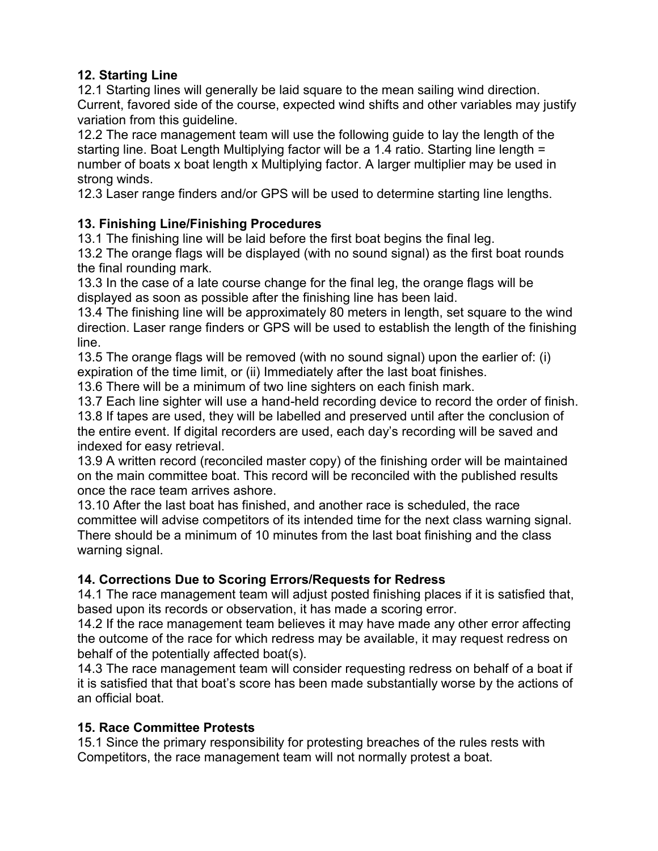#### **12. Starting Line**

12.1 Starting lines will generally be laid square to the mean sailing wind direction. Current, favored side of the course, expected wind shifts and other variables may justify variation from this guideline.

12.2 The race management team will use the following guide to lay the length of the starting line. Boat Length Multiplying factor will be a 1.4 ratio. Starting line length = number of boats x boat length x Multiplying factor. A larger multiplier may be used in strong winds.

12.3 Laser range finders and/or GPS will be used to determine starting line lengths.

# **13. Finishing Line/Finishing Procedures**

13.1 The finishing line will be laid before the first boat begins the final leg.

13.2 The orange flags will be displayed (with no sound signal) as the first boat rounds the final rounding mark.

13.3 In the case of a late course change for the final leg, the orange flags will be displayed as soon as possible after the finishing line has been laid.

13.4 The finishing line will be approximately 80 meters in length, set square to the wind direction. Laser range finders or GPS will be used to establish the length of the finishing line.

13.5 The orange flags will be removed (with no sound signal) upon the earlier of: (i) expiration of the time limit, or (ii) Immediately after the last boat finishes.

13.6 There will be a minimum of two line sighters on each finish mark.

13.7 Each line sighter will use a hand-held recording device to record the order of finish.

13.8 If tapes are used, they will be labelled and preserved until after the conclusion of the entire event. If digital recorders are used, each day's recording will be saved and indexed for easy retrieval.

13.9 A written record (reconciled master copy) of the finishing order will be maintained on the main committee boat. This record will be reconciled with the published results once the race team arrives ashore.

13.10 After the last boat has finished, and another race is scheduled, the race committee will advise competitors of its intended time for the next class warning signal. There should be a minimum of 10 minutes from the last boat finishing and the class warning signal.

# **14. Corrections Due to Scoring Errors/Requests for Redress**

14.1 The race management team will adjust posted finishing places if it is satisfied that, based upon its records or observation, it has made a scoring error.

14.2 If the race management team believes it may have made any other error affecting the outcome of the race for which redress may be available, it may request redress on behalf of the potentially affected boat(s).

14.3 The race management team will consider requesting redress on behalf of a boat if it is satisfied that that boat's score has been made substantially worse by the actions of an official boat.

# **15. Race Committee Protests**

15.1 Since the primary responsibility for protesting breaches of the rules rests with Competitors, the race management team will not normally protest a boat.